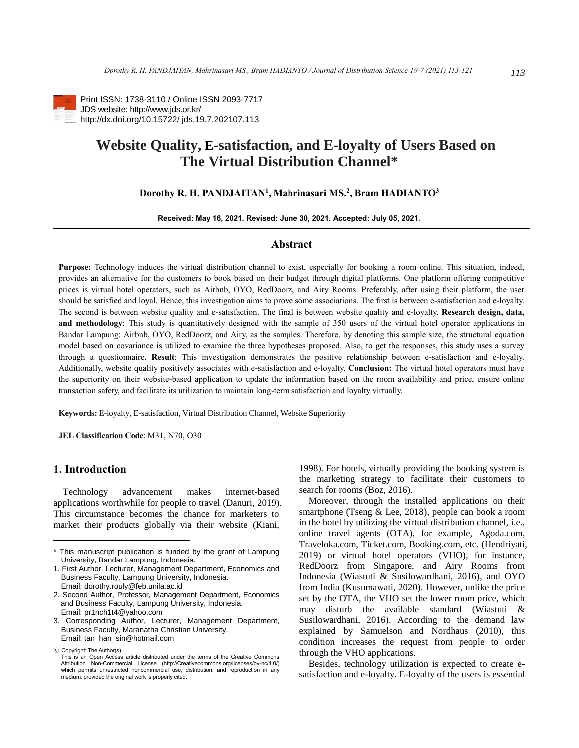

Print ISSN: 1738-3110 / Online ISSN 2093-7717 JDS website: http://www,jds.or.kr/ http://dx.doi.org/10.15722/ jds.19.7.202107.113

# **Website Quality, E-satisfaction, and E-loyalty of Users Based on The Virtual Distribution Channel\***

# **Dorothy R. H. PANDJAITAN<sup>1</sup> , Mahrinasari MS.<sup>2</sup> , Bram HADIANTO<sup>3</sup>**

**Received: May 16, 2021. Revised: June 30, 2021. Accepted: July 05, 2021.**

# **Abstract**

**Purpose:** Technology induces the virtual distribution channel to exist, especially for booking a room online. This situation, indeed, provides an alternative for the customers to book based on their budget through digital platforms. One platform offering competitive prices is virtual hotel operators, such as Airbnb, OYO, RedDoorz, and Airy Rooms. Preferably, after using their platform, the user should be satisfied and loyal. Hence, this investigation aims to prove some associations. The first is between e-satisfaction and e-loyalty. The second is between website quality and e-satisfaction. The final is between website quality and e-loyalty. **Research design, data, and methodology**: This study is quantitatively designed with the sample of 350 users of the virtual hotel operator applications in Bandar Lampung: Airbnb, OYO, RedDoorz, and Airy, as the samples. Therefore, by denoting this sample size, the structural equation model based on covariance is utilized to examine the three hypotheses proposed. Also, to get the responses, this study uses a survey through a questionnaire. **Result**: This investigation demonstrates the positive relationship between e-satisfaction and e-loyalty. Additionally, website quality positively associates with e-satisfaction and e-loyalty. **Conclusion:** The virtual hotel operators must have the superiority on their website-based application to update the information based on the room availability and price, ensure online transaction safety, and facilitate its utilization to maintain long-term satisfaction and loyalty virtually.

**Keywords:** E-loyalty, E-satisfaction, Virtual Distribution Channel, Website Superiority

**JEL Classification Code**: M31, N70, O30

# **1. Introduction<sup>12</sup>**

Technology advancement makes internet-based applications worthwhile for people to travel (Danuri, 2019). This circumstance becomes the chance for marketers to market their products globally via their website (Kiani,

1998). For hotels, virtually providing the booking system is the marketing strategy to facilitate their customers to search for rooms (Boz, 2016).

Moreover, through the installed applications on their smartphone (Tseng & Lee, 2018), people can book a room in the hotel by utilizing the virtual distribution channel, i.e., online travel agents (OTA), for example, Agoda.com, Traveloka.com, Ticket.com, Booking.com, etc. (Hendriyati, 2019) or virtual hotel operators (VHO), for instance, RedDoorz from Singapore, and Airy Rooms from Indonesia (Wiastuti & Susilowardhani, 2016), and OYO from India (Kusumawati, 2020). However, unlike the price set by the OTA, the VHO set the lower room price, which may disturb the available standard (Wiastuti & Susilowardhani, 2016). According to the demand law explained by Samuelson and Nordhaus (2010), this condition increases the request from people to order through the VHO applications.

Besides, technology utilization is expected to create esatisfaction and e-loyalty. E-loyalty of the users is essential

<sup>\*</sup> This manuscript publication is funded by the grant of Lampung University, Bandar Lampung, Indonesia.

<sup>1.</sup> First Author. Lecturer, Management Department, Economics and Business Faculty, Lampung University, Indonesia. Email: dorothy.rouly@feb.unila.ac.id

<sup>2.</sup> Second Author, Professor, Management Department, Economics and Business Faculty, Lampung University, Indonesia. Email: pr1nch1t4@yahoo.com

<sup>3.</sup> Corresponding Author, Lecturer, Management Department, Business Faculty, Maranatha Christian University. Email: tan\_han\_sin@hotmail.com

<sup>ⓒ</sup> Copyright: The Author(s)

This is an Open Access article distributed under the terms of the Creative Commons Attribution Non-Commercial License (http://Creativecommons.org/licenses/by-nc/4.0/) which permits unrestricted noncommercial use, distribution, and reproduction in any medium, provided the original work is properly cited.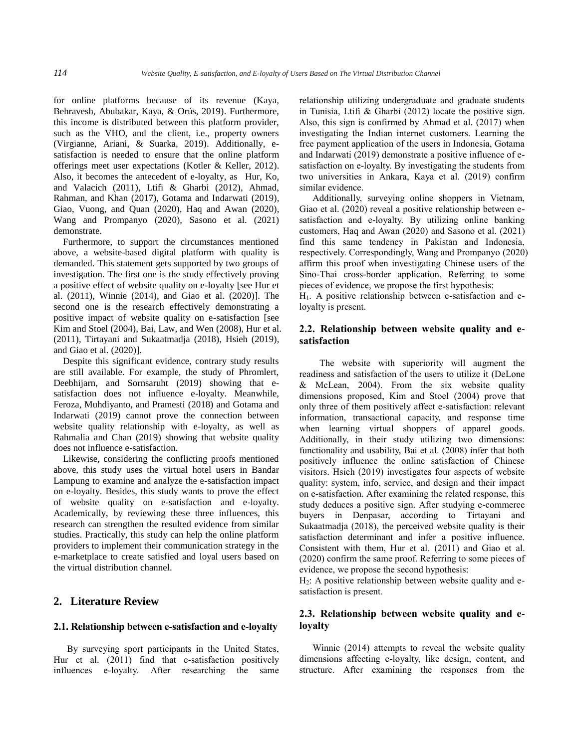for online platforms because of its revenue (Kaya, Behravesh, Abubakar, Kaya, & Orús, 2019). Furthermore, this income is distributed between this platform provider, such as the VHO, and the client, i.e., property owners (Virgianne, Ariani, & Suarka, 2019). Additionally, esatisfaction is needed to ensure that the online platform offerings meet user expectations (Kotler & Keller, 2012). Also, it becomes the antecedent of e-loyalty, as Hur, Ko, and Valacich (2011), Ltifi & Gharbi (2012), Ahmad, Rahman, and Khan (2017), Gotama and Indarwati (2019), Giao, Vuong, and Quan (2020), Haq and Awan (2020), Wang and Prompanyo (2020), Sasono et al. (2021) demonstrate.

Furthermore, to support the circumstances mentioned above, a website-based digital platform with quality is demanded. This statement gets supported by two groups of investigation. The first one is the study effectively proving a positive effect of website quality on e-loyalty [see Hur et al. (2011), Winnie (2014), and Giao et al. (2020)]. The second one is the research effectively demonstrating a positive impact of website quality on e-satisfaction [see Kim and Stoel (2004), Bai, Law, and Wen (2008), Hur et al. (2011), Tirtayani and Sukaatmadja (2018), Hsieh (2019), and Giao et al. (2020)].

Despite this significant evidence, contrary study results are still available. For example, the study of Phromlert, Deebhijarn, and Sornsaruht (2019) showing that esatisfaction does not influence e-loyalty. Meanwhile, Feroza, Muhdiyanto, and Pramesti (2018) and Gotama and Indarwati (2019) cannot prove the connection between website quality relationship with e-loyalty, as well as Rahmalia and Chan (2019) showing that website quality does not influence e-satisfaction.

Likewise, considering the conflicting proofs mentioned above, this study uses the virtual hotel users in Bandar Lampung to examine and analyze the e-satisfaction impact on e-loyalty. Besides, this study wants to prove the effect of website quality on e-satisfaction and e-loyalty. Academically, by reviewing these three influences, this research can strengthen the resulted evidence from similar studies. Practically, this study can help the online platform providers to implement their communication strategy in the e-marketplace to create satisfied and loyal users based on the virtual distribution channel.

# **2. Literature Review**

# **2.1. Relationship between e-satisfaction and e-loyalty**

By surveying sport participants in the United States, Hur et al. (2011) find that e-satisfaction positively influences e-loyalty. After researching the same relationship utilizing undergraduate and graduate students in Tunisia, Ltifi & Gharbi (2012) locate the positive sign. Also, this sign is confirmed by Ahmad et al. (2017) when investigating the Indian internet customers. Learning the free payment application of the users in Indonesia, Gotama and Indarwati (2019) demonstrate a positive influence of esatisfaction on e-loyalty. By investigating the students from two universities in Ankara, Kaya et al. (2019) confirm similar evidence.

Additionally, surveying online shoppers in Vietnam, Giao et al. (2020) reveal a positive relationship between esatisfaction and e-loyalty. By utilizing online banking customers, Haq and Awan (2020) and Sasono et al. (2021) find this same tendency in Pakistan and Indonesia, respectively. Correspondingly, Wang and Prompanyo (2020) affirm this proof when investigating Chinese users of the Sino-Thai cross-border application. Referring to some pieces of evidence, we propose the first hypothesis:

H1. A positive relationship between e-satisfaction and eloyalty is present.

# **2.2. Relationship between website quality and esatisfaction**

The website with superiority will augment the readiness and satisfaction of the users to utilize it (DeLone & McLean, 2004). From the six website quality dimensions proposed, Kim and Stoel (2004) prove that only three of them positively affect e-satisfaction: relevant information, transactional capacity, and response time when learning virtual shoppers of apparel goods. Additionally, in their study utilizing two dimensions: functionality and usability, Bai et al. (2008) infer that both positively influence the online satisfaction of Chinese visitors. Hsieh (2019) investigates four aspects of website quality: system, info, service, and design and their impact on e-satisfaction. After examining the related response, this study deduces a positive sign. After studying e-commerce buyers in Denpasar, according to Tirtayani and Sukaatmadja (2018), the perceived website quality is their satisfaction determinant and infer a positive influence. Consistent with them, Hur et al. (2011) and Giao et al. (2020) confirm the same proof. Referring to some pieces of evidence, we propose the second hypothesis:

 $H<sub>2</sub>$ : A positive relationship between website quality and esatisfaction is present.

# **2.3. Relationship between website quality and eloyalty**

Winnie (2014) attempts to reveal the website quality dimensions affecting e-loyalty, like design, content, and structure. After examining the responses from the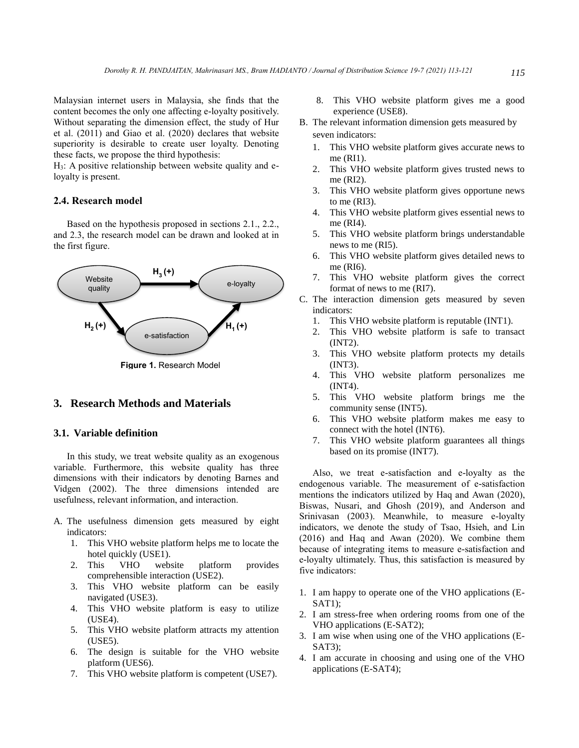Malaysian internet users in Malaysia, she finds that the content becomes the only one affecting e-loyalty positively. Without separating the dimension effect, the study of Hur et al. (2011) and Giao et al. (2020) declares that website superiority is desirable to create user loyalty. Denoting these facts, we propose the third hypothesis:

H3: A positive relationship between website quality and eloyalty is present.

# **2.4. Research model**

Based on the hypothesis proposed in sections 2.1., 2.2., and 2.3, the research model can be drawn and looked at in the first figure.



**Figure 1.** Research Model

# **3. Research Methods and Materials**

#### **3.1. Variable definition**

In this study, we treat website quality as an exogenous variable. Furthermore, this website quality has three dimensions with their indicators by denoting Barnes and Vidgen (2002). The three dimensions intended are usefulness, relevant information, and interaction.

- A. The usefulness dimension gets measured by eight indicators:
	- 1. This VHO website platform helps me to locate the hotel quickly (USE1).
	- 2. This VHO website platform provides comprehensible interaction (USE2).
	- 3. This VHO website platform can be easily navigated (USE3).
	- 4. This VHO website platform is easy to utilize (USE4).
	- 5. This VHO website platform attracts my attention (USE5).
	- 6. The design is suitable for the VHO website platform (UES6).
	- 7. This VHO website platform is competent (USE7).
- 8. This VHO website platform gives me a good experience (USE8).
- B. The relevant information dimension gets measured by seven indicators:
	- 1. This VHO website platform gives accurate news to me (RI1).
	- 2. This VHO website platform gives trusted news to me (RI2).
	- 3. This VHO website platform gives opportune news to me (RI3).
	- 4. This VHO website platform gives essential news to me (RI4).
	- 5. This VHO website platform brings understandable news to me (RI5).
	- 6. This VHO website platform gives detailed news to me (RI6).
	- 7. This VHO website platform gives the correct format of news to me (RI7).
- C. The interaction dimension gets measured by seven indicators:
	- 1. This VHO website platform is reputable (INT1).
	- 2. This VHO website platform is safe to transact (INT2).
	- 3. This VHO website platform protects my details (INT3).
	- 4. This VHO website platform personalizes me (INT4).
	- 5. This VHO website platform brings me the community sense (INT5).
	- 6. This VHO website platform makes me easy to connect with the hotel (INT6).
	- 7. This VHO website platform guarantees all things based on its promise (INT7).

Also, we treat e-satisfaction and e-loyalty as the endogenous variable. The measurement of e-satisfaction mentions the indicators utilized by Haq and Awan (2020), Biswas, Nusari, and Ghosh (2019), and Anderson and Srinivasan (2003). Meanwhile, to measure e-loyalty indicators, we denote the study of Tsao, Hsieh, and Lin (2016) and Haq and Awan (2020). We combine them because of integrating items to measure e-satisfaction and e-loyalty ultimately. Thus, this satisfaction is measured by five indicators:

- 1. I am happy to operate one of the VHO applications (E-SAT1);
- 2. I am stress-free when ordering rooms from one of the VHO applications (E-SAT2);
- 3. I am wise when using one of the VHO applications (E-SAT3);
- 4. I am accurate in choosing and using one of the VHO applications (E-SAT4);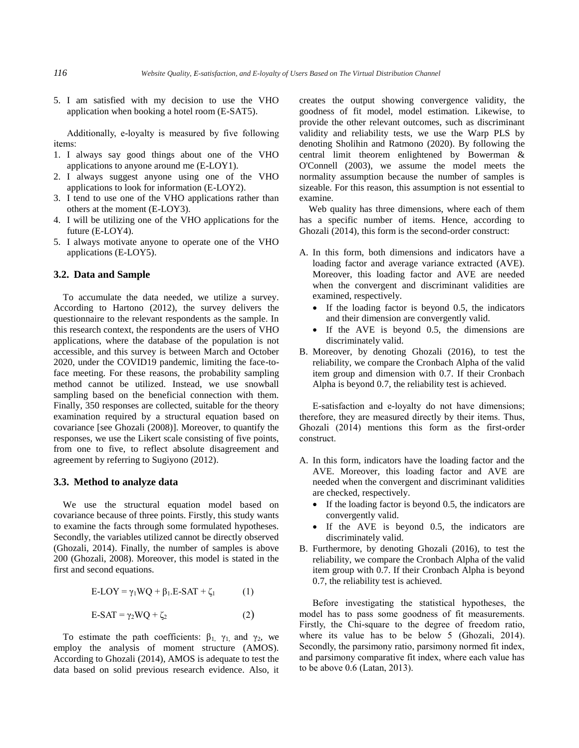5. I am satisfied with my decision to use the VHO application when booking a hotel room (E-SAT5).

Additionally, e-loyalty is measured by five following items:

- 1. I always say good things about one of the VHO applications to anyone around me (E-LOY1).
- 2. I always suggest anyone using one of the VHO applications to look for information (E-LOY2).
- 3. I tend to use one of the VHO applications rather than others at the moment (E-LOY3).
- 4. I will be utilizing one of the VHO applications for the future (E-LOY4).
- 5. I always motivate anyone to operate one of the VHO applications (E-LOY5).

# **3.2. Data and Sample**

To accumulate the data needed, we utilize a survey. According to Hartono (2012), the survey delivers the questionnaire to the relevant respondents as the sample. In this research context, the respondents are the users of VHO applications, where the database of the population is not accessible, and this survey is between March and October 2020, under the COVID19 pandemic, limiting the face-toface meeting. For these reasons, the probability sampling method cannot be utilized. Instead, we use snowball sampling based on the beneficial connection with them. Finally, 350 responses are collected, suitable for the theory examination required by a structural equation based on covariance [see Ghozali (2008)]. Moreover, to quantify the responses, we use the Likert scale consisting of five points, from one to five, to reflect absolute disagreement and agreement by referring to Sugiyono (2012).

#### **3.3. Method to analyze data**

We use the structural equation model based on covariance because of three points. Firstly, this study wants to examine the facts through some formulated hypotheses. Secondly, the variables utilized cannot be directly observed (Ghozali, 2014). Finally, the number of samples is above 200 (Ghozali, 2008). Moreover, this model is stated in the first and second equations.

$$
E\text{-LOY} = \gamma_1 WQ + \beta_1 E\text{-SAT} + \zeta_1 \tag{1}
$$

$$
E-SAT = \gamma_2 WQ + \zeta_2 \tag{2}
$$

To estimate the path coefficients:  $\beta_1$ ,  $\gamma_1$ , and  $\gamma_2$ , we employ the analysis of moment structure (AMOS). According to Ghozali (2014), AMOS is adequate to test the data based on solid previous research evidence. Also, it creates the output showing convergence validity, the goodness of fit model, model estimation. Likewise, to provide the other relevant outcomes, such as discriminant validity and reliability tests, we use the Warp PLS by denoting Sholihin and Ratmono (2020). By following the central limit theorem enlightened by Bowerman & O'Connell (2003), we assume the model meets the normality assumption because the number of samples is sizeable. For this reason, this assumption is not essential to examine.

Web quality has three dimensions, where each of them has a specific number of items. Hence, according to Ghozali (2014), this form is the second-order construct:

- A. In this form, both dimensions and indicators have a loading factor and average variance extracted (AVE). Moreover, this loading factor and AVE are needed when the convergent and discriminant validities are examined, respectively.
	- If the loading factor is beyond 0.5, the indicators and their dimension are convergently valid.
	- If the AVE is beyond 0.5, the dimensions are discriminately valid.
- B. Moreover, by denoting Ghozali (2016), to test the reliability, we compare the Cronbach Alpha of the valid item group and dimension with 0.7. If their Cronbach Alpha is beyond 0.7, the reliability test is achieved.

E-satisfaction and e-loyalty do not have dimensions; therefore, they are measured directly by their items. Thus, Ghozali (2014) mentions this form as the first-order construct.

- A. In this form, indicators have the loading factor and the AVE. Moreover, this loading factor and AVE are needed when the convergent and discriminant validities are checked, respectively.
	- If the loading factor is beyond 0.5, the indicators are convergently valid.
	- If the AVE is beyond  $0.5$ , the indicators are discriminately valid.
- B. Furthermore, by denoting Ghozali (2016), to test the reliability, we compare the Cronbach Alpha of the valid item group with 0.7. If their Cronbach Alpha is beyond 0.7, the reliability test is achieved.

Before investigating the statistical hypotheses, the model has to pass some goodness of fit measurements. Firstly, the Chi-square to the degree of freedom ratio, where its value has to be below 5 (Ghozali, 2014). Secondly, the parsimony ratio, parsimony normed fit index, and parsimony comparative fit index, where each value has to be above 0.6 (Latan, 2013).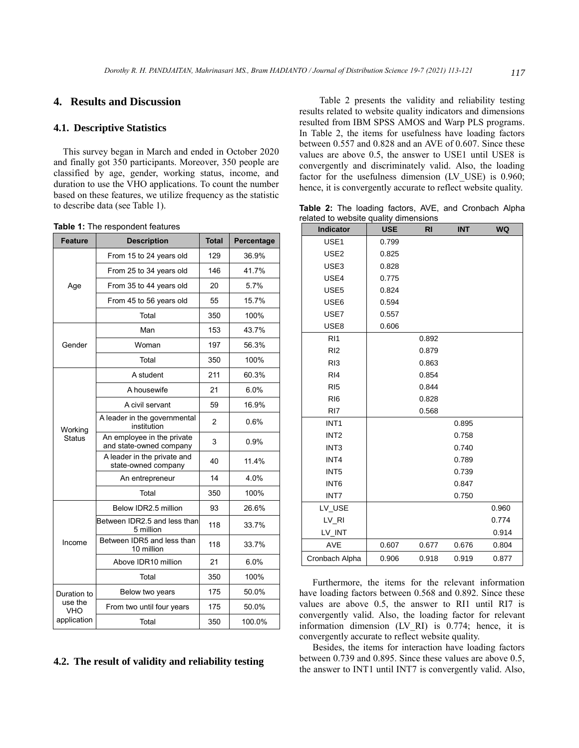# **4. Results and Discussion**

#### **4.1. Descriptive Statistics**

This survey began in March and ended in October 2020 and finally got 350 participants. Moreover, 350 people are classified by age, gender, working status, income, and duration to use the VHO applications. To count the number based on these features, we utilize frequency as the statistic to describe data (see Table 1).

| <b>Feature</b> | <b>Description</b>                                    | <b>Total</b>   | Percentage |
|----------------|-------------------------------------------------------|----------------|------------|
| Age            | From 15 to 24 years old                               | 129            | 36.9%      |
|                | From 25 to 34 years old                               | 146            | 41.7%      |
|                | From 35 to 44 years old                               | 20             | 5.7%       |
|                | From 45 to 56 years old                               | 55             | 15.7%      |
|                | Total                                                 | 350            | 100%       |
|                | Man                                                   | 153            | 43.7%      |
| Gender         | Woman                                                 | 197            | 56.3%      |
|                | Total                                                 | 350            | 100%       |
|                | A student                                             | 211            | 60.3%      |
|                | A housewife                                           | 21             | 6.0%       |
|                | A civil servant                                       | 59             | 16.9%      |
| Working        | A leader in the governmental<br>institution           | $\overline{2}$ | 0.6%       |
| <b>Status</b>  | An employee in the private<br>and state-owned company | 3              | 0.9%       |
|                | A leader in the private and<br>state-owned company    | 40             | 11.4%      |
|                | An entrepreneur                                       | 14             | 4.0%       |
|                | Total                                                 | 350            | 100%       |
|                | Below IDR2.5 million                                  | 93             | 26.6%      |
| Income         | Between IDR2.5 and less than<br>5 million             | 118            | 33.7%      |
|                | Between IDR5 and less than<br>10 million              | 118            | 33.7%      |
|                | Above IDR10 million                                   | 21             | 6.0%       |
|                | Total                                                 | 350            | 100%       |
| Duration to    | 175<br>Below two years                                |                | 50.0%      |
| use the<br>VHO | From two until four years                             | 175            | 50.0%      |
| application    | Total                                                 | 350            | 100.0%     |

#### **Table 1:** The respondent features

# **4.2. The result of validity and reliability testing**

Table 2 presents the validity and reliability testing results related to website quality indicators and dimensions resulted from IBM SPSS AMOS and Warp PLS programs. In Table 2, the items for usefulness have loading factors between 0.557 and 0.828 and an AVE of 0.607. Since these values are above 0.5, the answer to USE1 until USE8 is convergently and discriminately valid. Also, the loading factor for the usefulness dimension (LV\_USE) is 0.960; hence, it is convergently accurate to reflect website quality.

**Table 2:** The loading factors, AVE, and Cronbach Alpha related to website quality dimensions

| <b>Indicator</b> | <b>USE</b> | <b>RI</b> | <b>INT</b> | <b>WQ</b> |
|------------------|------------|-----------|------------|-----------|
| USE1             | 0.799      |           |            |           |
| USE <sub>2</sub> | 0.825      |           |            |           |
| USE3             | 0.828      |           |            |           |
| USE4             | 0.775      |           |            |           |
| USE5             | 0.824      |           |            |           |
| USE6             | 0.594      |           |            |           |
| USE7             | 0.557      |           |            |           |
| USE8             | 0.606      |           |            |           |
| R11              |            | 0.892     |            |           |
| R <sub>12</sub>  |            | 0.879     |            |           |
| R <sub>13</sub>  |            | 0.863     |            |           |
| R <sub>14</sub>  |            | 0.854     |            |           |
| RI <sub>5</sub>  |            | 0.844     |            |           |
| RI <sub>6</sub>  |            | 0.828     |            |           |
| RI7              |            | 0.568     |            |           |
| INT <sub>1</sub> |            |           | 0.895      |           |
| INT <sub>2</sub> |            |           | 0.758      |           |
| INT <sub>3</sub> |            |           | 0.740      |           |
| INT4             |            |           | 0.789      |           |
| INT <sub>5</sub> |            |           | 0.739      |           |
| INT <sub>6</sub> |            |           | 0.847      |           |
| INT7             |            |           | 0.750      |           |
| LV_USE           |            |           |            | 0.960     |
| LV_RI            |            |           |            | 0.774     |
| LV_INT           |            |           |            | 0.914     |
| <b>AVE</b>       | 0.607      | 0.677     | 0.676      | 0.804     |
| Cronbach Alpha   | 0.906      | 0.918     | 0.919      | 0.877     |

Furthermore, the items for the relevant information have loading factors between 0.568 and 0.892. Since these values are above 0.5, the answer to RI1 until RI7 is convergently valid. Also, the loading factor for relevant information dimension (LV\_RI) is 0.774; hence, it is convergently accurate to reflect website quality.

Besides, the items for interaction have loading factors between 0.739 and 0.895. Since these values are above 0.5, the answer to INT1 until INT7 is convergently valid. Also,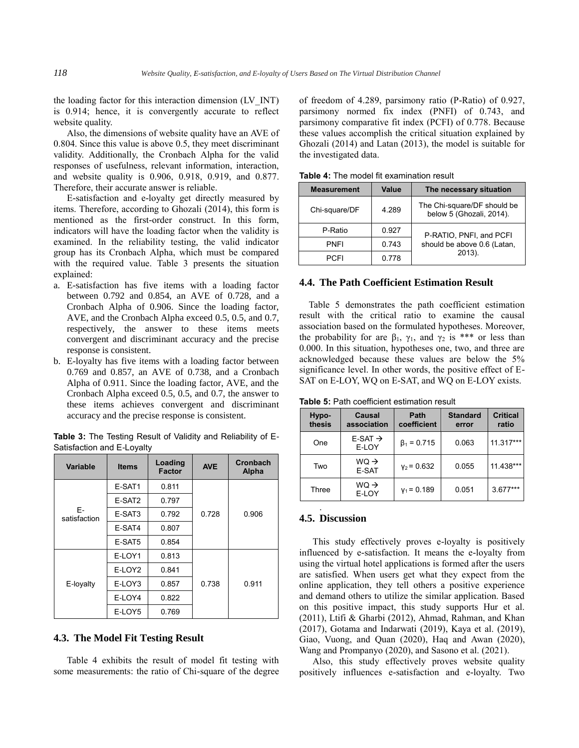the loading factor for this interaction dimension (LV\_INT) is 0.914; hence, it is convergently accurate to reflect website quality.

Also, the dimensions of website quality have an AVE of 0.804. Since this value is above 0.5, they meet discriminant validity. Additionally, the Cronbach Alpha for the valid responses of usefulness, relevant information, interaction, and website quality is 0.906, 0.918, 0.919, and 0.877. Therefore, their accurate answer is reliable.

E-satisfaction and e-loyalty get directly measured by items. Therefore, according to Ghozali (2014), this form is mentioned as the first-order construct. In this form, indicators will have the loading factor when the validity is examined. In the reliability testing, the valid indicator group has its Cronbach Alpha, which must be compared with the required value. Table 3 presents the situation explained:

- a. E-satisfaction has five items with a loading factor between 0.792 and 0.854, an AVE of 0.728, and a Cronbach Alpha of 0.906. Since the loading factor, AVE, and the Cronbach Alpha exceed 0.5, 0.5, and 0.7, respectively, the answer to these items meets convergent and discriminant accuracy and the precise response is consistent.
- b. E-loyalty has five items with a loading factor between 0.769 and 0.857, an AVE of 0.738, and a Cronbach Alpha of 0.911. Since the loading factor, AVE, and the Cronbach Alpha exceed 0.5, 0.5, and 0.7, the answer to these items achieves convergent and discriminant accuracy and the precise response is consistent.

|                            | Table 3: The Testing Result of Validity and Reliability of E- |  |  |
|----------------------------|---------------------------------------------------------------|--|--|
| Satisfaction and E-Loyalty |                                                               |  |  |

| Variable           | <b>Items</b> | Loading<br><b>Factor</b> | <b>AVE</b> | Cronbach<br>Alpha |
|--------------------|--------------|--------------------------|------------|-------------------|
| F-<br>satisfaction | E-SAT1       | 0.811                    |            |                   |
|                    | E-SAT2       | 0.797                    |            |                   |
|                    | E-SAT3       | 0.792                    | 0.728      | 0.906             |
|                    | E-SAT4       | 0.807                    |            |                   |
|                    | E-SAT5       | 0.854                    |            |                   |
| E-loyalty          | E-LOY1       | 0.813                    |            |                   |
|                    | E-LOY2       | 0.841                    |            |                   |
|                    | E-LOY3       | 0.857                    | 0.738      | 0.911             |
|                    | E-LOY4       | 0.822                    |            |                   |
|                    | E-LOY5       | 0.769                    |            |                   |

# **4.3. The Model Fit Testing Result**

Table 4 exhibits the result of model fit testing with some measurements: the ratio of Chi-square of the degree of freedom of 4.289, parsimony ratio (P-Ratio) of 0.927, parsimony normed fix index (PNFI) of 0.743, and parsimony comparative fit index (PCFI) of 0.778. Because these values accomplish the critical situation explained by Ghozali (2014) and Latan (2013), the model is suitable for the investigated data.

| <b>Measurement</b> | Value | The necessary situation                                 |  |  |  |
|--------------------|-------|---------------------------------------------------------|--|--|--|
| Chi-square/DF      | 4.289 | The Chi-square/DF should be<br>below 5 (Ghozali, 2014). |  |  |  |
| P-Ratio            | 0.927 | P-RATIO, PNFI, and PCFI                                 |  |  |  |
| <b>PNFI</b>        | 0.743 | should be above 0.6 (Latan,                             |  |  |  |
| PCFI               | 0.778 | 2013).                                                  |  |  |  |

**Table 4:** The model fit examination result

#### **4.4. The Path Coefficient Estimation Result**

Table 5 demonstrates the path coefficient estimation result with the critical ratio to examine the causal association based on the formulated hypotheses. Moreover, the probability for are  $\beta_1$ ,  $\gamma_1$ , and  $\gamma_2$  is \*\*\* or less than 0.000. In this situation, hypotheses one, two, and three are acknowledged because these values are below the 5% significance level. In other words, the positive effect of E-SAT on E-LOY, WQ on E-SAT, and WQ on E-LOY exists.

**Table 5:** Path coefficient estimation result

| Hypo-<br>thesis | Causal<br>association        | Path<br>coefficient | <b>Standard</b><br>error | <b>Critical</b><br>ratio |
|-----------------|------------------------------|---------------------|--------------------------|--------------------------|
| One             | $E-SAT \rightarrow$<br>E-LOY | $\beta_1 = 0.715$   | 0.063                    | 11.317***                |
| Two             | $WO \rightarrow$<br>E-SAT    | $v_2$ = 0.632       | 0.055                    | 11.438***                |
| Three           | $WO \rightarrow$<br>E-LOY    | $y_1 = 0.189$       | 0.051                    | $3.677***$               |
|                 |                              |                     |                          |                          |

#### **4.5. Discussion**

This study effectively proves e-loyalty is positively influenced by e-satisfaction. It means the e-loyalty from using the virtual hotel applications is formed after the users are satisfied. When users get what they expect from the online application, they tell others a positive experience and demand others to utilize the similar application. Based on this positive impact, this study supports Hur et al. (2011), Ltifi & Gharbi (2012), Ahmad, Rahman, and Khan (2017), Gotama and Indarwati (2019), Kaya et al. (2019), Giao, Vuong, and Quan (2020), Haq and Awan (2020), Wang and Prompanyo (2020), and Sasono et al. (2021).

Also, this study effectively proves website quality positively influences e-satisfaction and e-loyalty. Two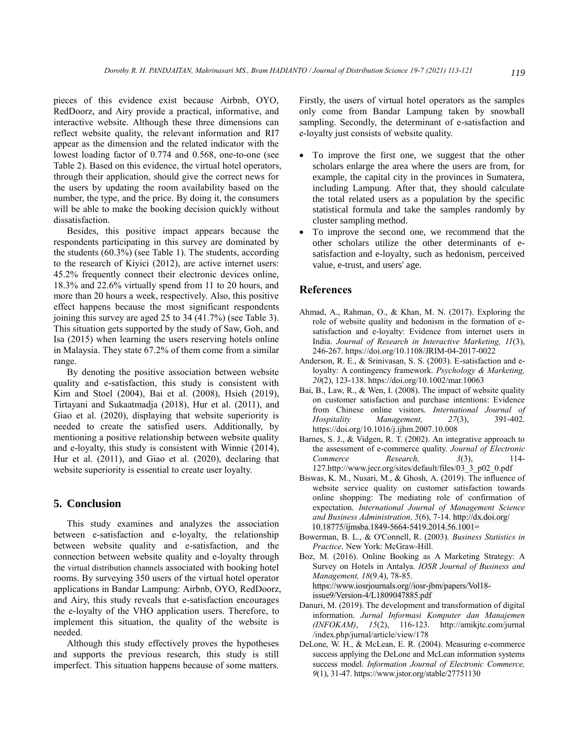pieces of this evidence exist because Airbnb, OYO, RedDoorz, and Airy provide a practical, informative, and interactive website. Although these three dimensions can reflect website quality, the relevant information and RI7 appear as the dimension and the related indicator with the lowest loading factor of 0.774 and 0.568, one-to-one (see Table 2). Based on this evidence, the virtual hotel operators, through their application, should give the correct news for the users by updating the room availability based on the number, the type, and the price. By doing it, the consumers will be able to make the booking decision quickly without dissatisfaction.

Besides, this positive impact appears because the respondents participating in this survey are dominated by the students (60.3%) (see Table 1). The students, according to the research of Kiyici (2012), are active internet users: 45.2% frequently connect their electronic devices online, 18.3% and 22.6% virtually spend from 11 to 20 hours, and more than 20 hours a week, respectively. Also, this positive effect happens because the most significant respondents joining this survey are aged 25 to 34 (41.7%) (see Table 3). This situation gets supported by the study of Saw, Goh, and Isa (2015) when learning the users reserving hotels online in Malaysia. They state 67.2% of them come from a similar range.

By denoting the positive association between website quality and e-satisfaction, this study is consistent with Kim and Stoel (2004), Bai et al. (2008), Hsieh (2019), Tirtayani and Sukaatmadja (2018), Hur et al. (2011), and Giao et al. (2020), displaying that website superiority is needed to create the satisfied users. Additionally, by mentioning a positive relationship between website quality and e-loyalty, this study is consistent with Winnie (2014), Hur et al. (2011), and Giao et al. (2020), declaring that website superiority is essential to create user loyalty.

# **5. Conclusion**

This study examines and analyzes the association between e-satisfaction and e-loyalty, the relationship between website quality and e-satisfaction, and the connection between website quality and e-loyalty through the virtual distribution channels associated with booking hotel rooms. By surveying 350 users of the virtual hotel operator applications in Bandar Lampung: Airbnb, OYO, RedDoorz, and Airy, this study reveals that e-satisfaction encourages the e-loyalty of the VHO application users. Therefore, to implement this situation, the quality of the website is needed.

Although this study effectively proves the hypotheses and supports the previous research, this study is still imperfect. This situation happens because of some matters.

Firstly, the users of virtual hotel operators as the samples only come from Bandar Lampung taken by snowball sampling. Secondly, the determinant of e-satisfaction and e-loyalty just consists of website quality.

- To improve the first one, we suggest that the other scholars enlarge the area where the users are from, for example, the capital city in the provinces in Sumatera, including Lampung. After that, they should calculate the total related users as a population by the specific statistical formula and take the samples randomly by cluster sampling method.
- To improve the second one, we recommend that the other scholars utilize the other determinants of esatisfaction and e-loyalty, such as hedonism, perceived value, e-trust, and users' age.

## **References**

- Ahmad, A., Rahman, O., & Khan, M. N. (2017). Exploring the role of website quality and hedonism in the formation of esatisfaction and e-loyalty: Evidence from internet users in India. *Journal of Research in Interactive Marketing, 11*(3), 246-267. https://doi.org/10.1108/JRIM-04-2017-0022
- Anderson, R. E., & Srinivasan, S. S. (2003). E-satisfaction and eloyalty: A contingency framework. *Psychology & Marketing, 20*(2), 123-138. https://doi.org/10.1002/mar.10063
- Bai, B., Law, R., & Wen, I. (2008). The impact of website quality on customer satisfaction and purchase intentions: Evidence from Chinese online visitors. *International Journal of Hospitality Management, 27*(3), 391-402. https://doi.org/10.1016/j.ijhm.2007.10.008
- Barnes, S. J., & Vidgen, R. T. (2002). An integrative approach to the assessment of e-commerce quality. *Journal of Electronic Commerce Research, 3*(3), 114- 127.http://www.jecr.org/sites/default/files/03\_3\_p02\_0.pdf
- Biswas, K. M., Nusari, M., & Ghosh, A. (2019). The influence of website service quality on customer satisfaction towards online shopping: The mediating role of confirmation of expectation. *International Journal of Management Science and Business Administration, 5*(6), 7-14. http://dx.doi.org/ 10.18775/ijmsba.1849-5664-5419.2014.56.1001=
- Bowerman, B. L., & O'Connell, R. (2003). *Business Statistics in Practice*. New York: McGraw-Hill.
- Boz, M. (2016). Online Booking as A Marketing Strategy: A Survey on Hotels in Antalya. *IOSR Journal of Business and Management, 18*(9.4), 78-85. https://www.iosrjournals.org//iosr-jbm/papers/Vol18 issue9/Version-4/L1809047885.pdf
- Danuri, M. (2019). The development and transformation of digital information. *Jurnal Informasi Komputer dan Manajemen (INFOKAM)*, *15*(2), 116-123. http://amikjtc.com/jurnal /index.php/jurnal/article/view/178
- DeLone, W. H., & McLean, E. R. (2004). Measuring e-commerce success applying the DeLone and McLean information systems success model. *Information Journal of Electronic Commerce, 9*(1), 31-47. https://www.jstor.org/stable/27751130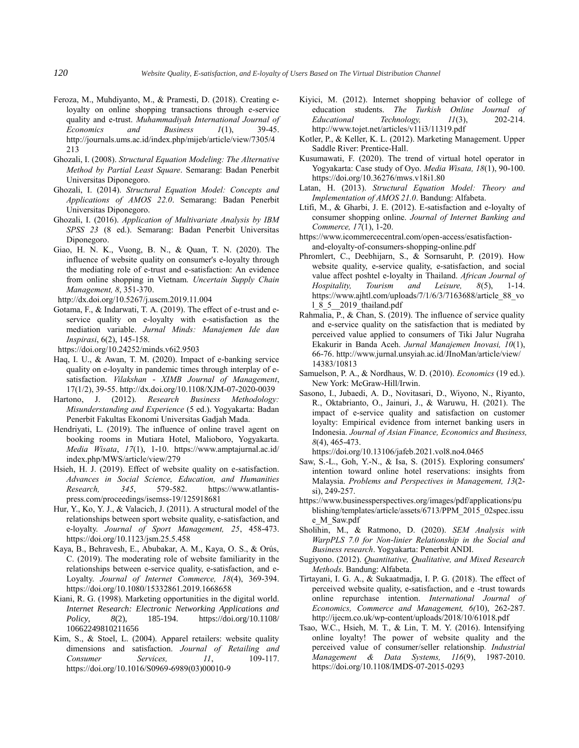- Feroza, M., Muhdiyanto, M., & Pramesti, D. (2018). Creating eloyalty on online shopping transactions through e-service quality and e-trust. *Muhammadiyah International Journal of Economics and Business 1*(1), 39-45. http://journals.ums.ac.id/index.php/mijeb/article/view/7305/4 213
- Ghozali, I. (2008). *Structural Equation Modeling: The Alternative Method by Partial Least Square*. Semarang: Badan Penerbit Universitas Diponegoro.
- Ghozali, I. (2014). *Structural Equation Model: Concepts and Applications of AMOS 22.0*. Semarang: Badan Penerbit Universitas Diponegoro.
- Ghozali, I. (2016). *Application of Multivariate Analysis by IBM SPSS 23* (8 ed.). Semarang: Badan Penerbit Universitas Diponegoro.
- Giao, H. N. K., Vuong, B. N., & Quan, T. N. (2020). The influence of website quality on consumer's e-loyalty through the mediating role of e-trust and e-satisfaction: An evidence from online shopping in Vietnam. *Uncertain Supply Chain Management, 8*, 351-370.
- http://dx.doi.org/10.5267/j.uscm.2019.11.004
- Gotama, F., & Indarwati, T. A. (2019). The effect of e-trust and eservice quality on e-loyalty with e-satisfaction as the mediation variable. *Jurnal Minds: Manajemen Ide dan Inspirasi*, 6(2), 145-158.
- https://doi.org/10.24252/minds.v6i2.9503
- Haq, I. U., & Awan, T. M. (2020). Impact of e-banking service quality on e-loyalty in pandemic times through interplay of esatisfaction. *Vilakshan - XIMB Journal of Management*, 17(1/2), 39-55. http://dx.doi.org/10.1108/XJM-07-2020-0039
- Hartono, J. (2012). *Research Business Methodology: Misunderstanding and Experience* (5 ed.). Yogyakarta: Badan Penerbit Fakultas Ekonomi Universitas Gadjah Mada.
- Hendriyati, L. (2019). The influence of online travel agent on booking rooms in Mutiara Hotel, Malioboro, Yogyakarta. *Media Wisata*, *17*(1), 1-10. https://www.amptajurnal.ac.id/ index.php/MWS/article/view/279
- Hsieh, H. J. (2019). Effect of website quality on e-satisfaction. *Advances in Social Science, Education, and Humanities Research, 345*, 579-582. https://www.atlantispress.com/proceedings/isemss-19/125918681
- Hur, Y., Ko, Y. J., & Valacich, J. (2011). A structural model of the relationships between sport website quality, e-satisfaction, and e-loyalty. *Journal of Sport Management, 25*, 458-473. https://doi.org/10.1123/jsm.25.5.458
- Kaya, B., Behravesh, E., Abubakar, A. M., Kaya, O. S., & Orús, C. (2019). The moderating role of website familiarity in the relationships between e-service quality, e-satisfaction, and e-Loyalty. *Journal of Internet Commerce, 18*(4), 369-394. https://doi.org/10.1080/15332861.2019.1668658
- Kiani, R. G. (1998). Marketing opportunities in the digital world. *Internet Research: Electronic Networking Applications and Policy, 8*(2), 185-194. https://doi.org/10.1108/ 10662249810211656
- Kim, S., & Stoel, L. (2004). Apparel retailers: website quality dimensions and satisfaction. *Journal of Retailing and Consumer Services. 11*, 109-117. https://doi.org/10.1016/S0969-6989(03)00010-9
- Kiyici, M. (2012). Internet shopping behavior of college of education students. *The Turkish Online Journal of Educational Technology, 11*(3), 202-214. http://www.tojet.net/articles/v11i3/11319.pdf
- Kotler, P., & Keller, K. L. (2012). Marketing Management. Upper Saddle River: Prentice-Hall.
- Kusumawati, F. (2020). The trend of virtual hotel operator in Yogyakarta: Case study of Oyo. *Media Wisata, 18*(1), 90-100. https://doi.org/10.36276/mws.v18i1.80
- Latan, H. (2013). *Structural Equation Model: Theory and Implementation of AMOS 21.0*. Bandung: Alfabeta.
- Ltifi, M., & Gharbi, J. E. (2012). E-satisfaction and e-loyalty of consumer shopping online. *Journal of Internet Banking and Commerce, 17*(1), 1-20.
- https://www.icommercecentral.com/open-access/esatisfactionand-eloyalty-of-consumers-shopping-online.pdf
- Phromlert, C., Deebhijarn, S., & Sornsaruht, P. (2019). How website quality, e-service quality, e-satisfaction, and social value affect poshtel e-loyalty in Thailand. *African Journal of Hospitality, Tourism and Leisure, 8*(5), 1-14. https://www.ajhtl.com/uploads/7/1/6/3/7163688/article\_88\_vo l\_8\_5\_\_2019\_thailand.pdf
- Rahmalia, P., & Chan, S. (2019). The influence of service quality and e-service quality on the satisfaction that is mediated by perceived value applied to consumers of Tiki Jalur Nugraha Ekakurir in Banda Aceh. *Jurnal Manajemen Inovasi, 10*(1), 66-76. http://www.jurnal.unsyiah.ac.id/JInoMan/article/view/ 14383/10813
- Samuelson, P. A., & Nordhaus, W. D. (2010). *Economics* (19 ed.). New York: McGraw-Hill/Irwin.
- Sasono, I., Jubaedi, A. D., Novitasari, D., Wiyono, N., Riyanto, R., Oktabrianto, O., Jainuri, J., & Waruwu, H. (2021). The impact of e-service quality and satisfaction on customer loyalty: Empirical evidence from internet banking users in Indonesia. *Journal of Asian Finance, Economics and Business, 8*(4), 465-473.
	- https://doi.org/10.13106/jafeb.2021.vol8.no4.0465
- Saw, S.-L., Goh, Y.-N., & Isa, S. (2015). Exploring consumers' intention toward online hotel reservations: insights from Malaysia. *Problems and Perspectives in Management, 13*(2 si), 249-257.
- https://www.businessperspectives.org/images/pdf/applications/pu blishing/templates/article/assets/6713/PPM\_2015\_02spec.issu e\_M\_Saw.pdf
- Sholihin, M., & Ratmono, D. (2020). *SEM Analysis with WarpPLS 7.0 for Non-linier Relationship in the Social and Business research*. Yogyakarta: Penerbit ANDI.
- Sugiyono. (2012). *Quantitative, Qualitative, and Mixed Research Methods*. Bandung: Alfabeta.
- Tirtayani, I. G. A., & Sukaatmadja, I. P. G. (2018). The effect of perceived website quality, e-satisfaction, and e -trust towards online repurchase intention. *International Journal of Economics, Commerce and Management, 6(*10), 262-287. http://ijecm.co.uk/wp-content/uploads/2018/10/61018.pdf
- Tsao, W.C., Hsieh, M. T., & Lin, T. M. Y. (2016). Intensifying online loyalty! The power of website quality and the perceived value of consumer/seller relationship*. Industrial Management & Data Systems, 116*(9), 1987-2010. https://doi.org/10.1108/IMDS-07-2015-0293